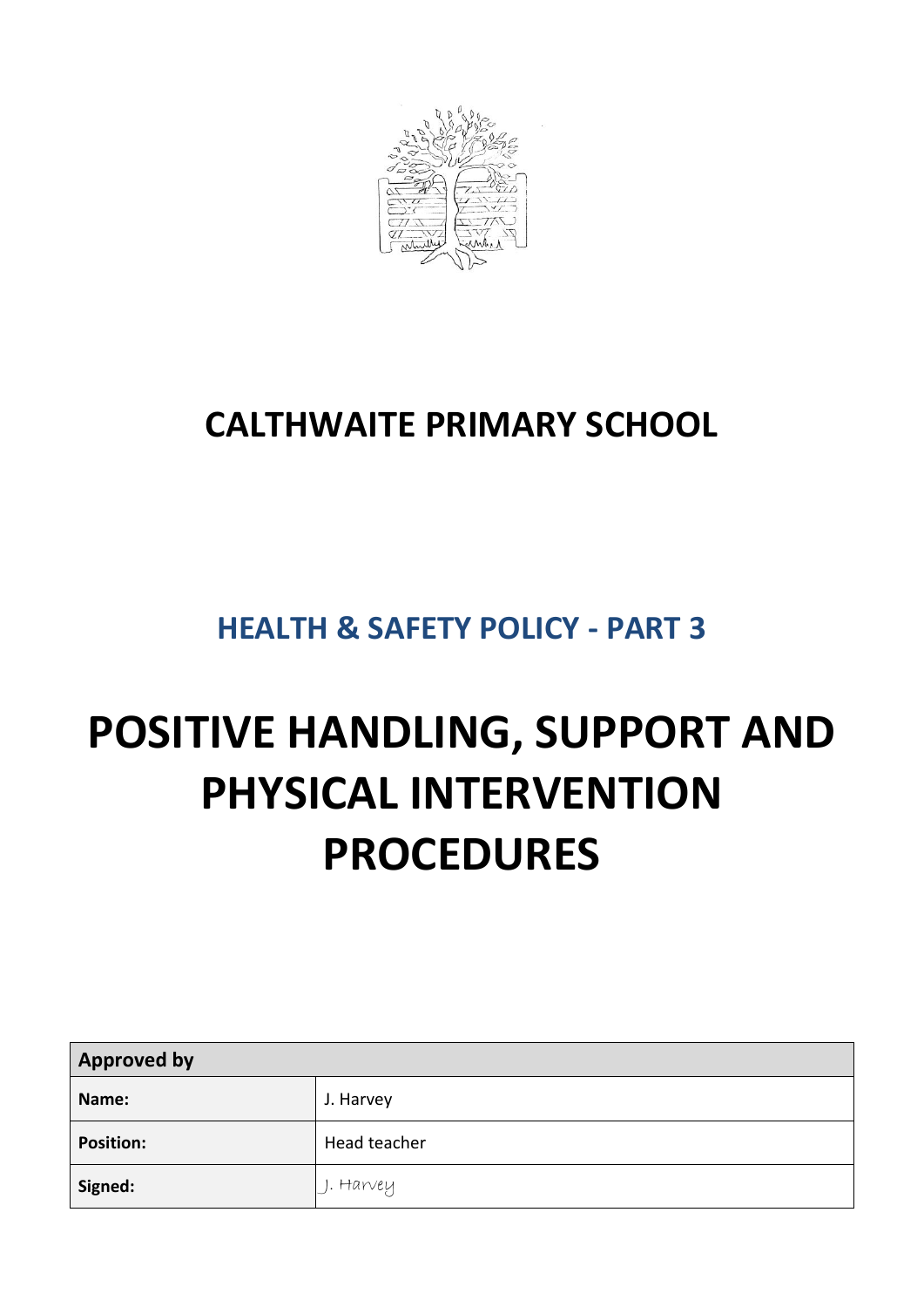

# **CALTHWAITE PRIMARY SCHOOL**

# **HEALTH & SAFETY POLICY - PART 3**

# **POSITIVE HANDLING, SUPPORT AND PHYSICAL INTERVENTION PROCEDURES**

| <b>Approved by</b> |              |  |
|--------------------|--------------|--|
| Name:              | J. Harvey    |  |
| <b>Position:</b>   | Head teacher |  |
| Signed:            | . I. Harvey  |  |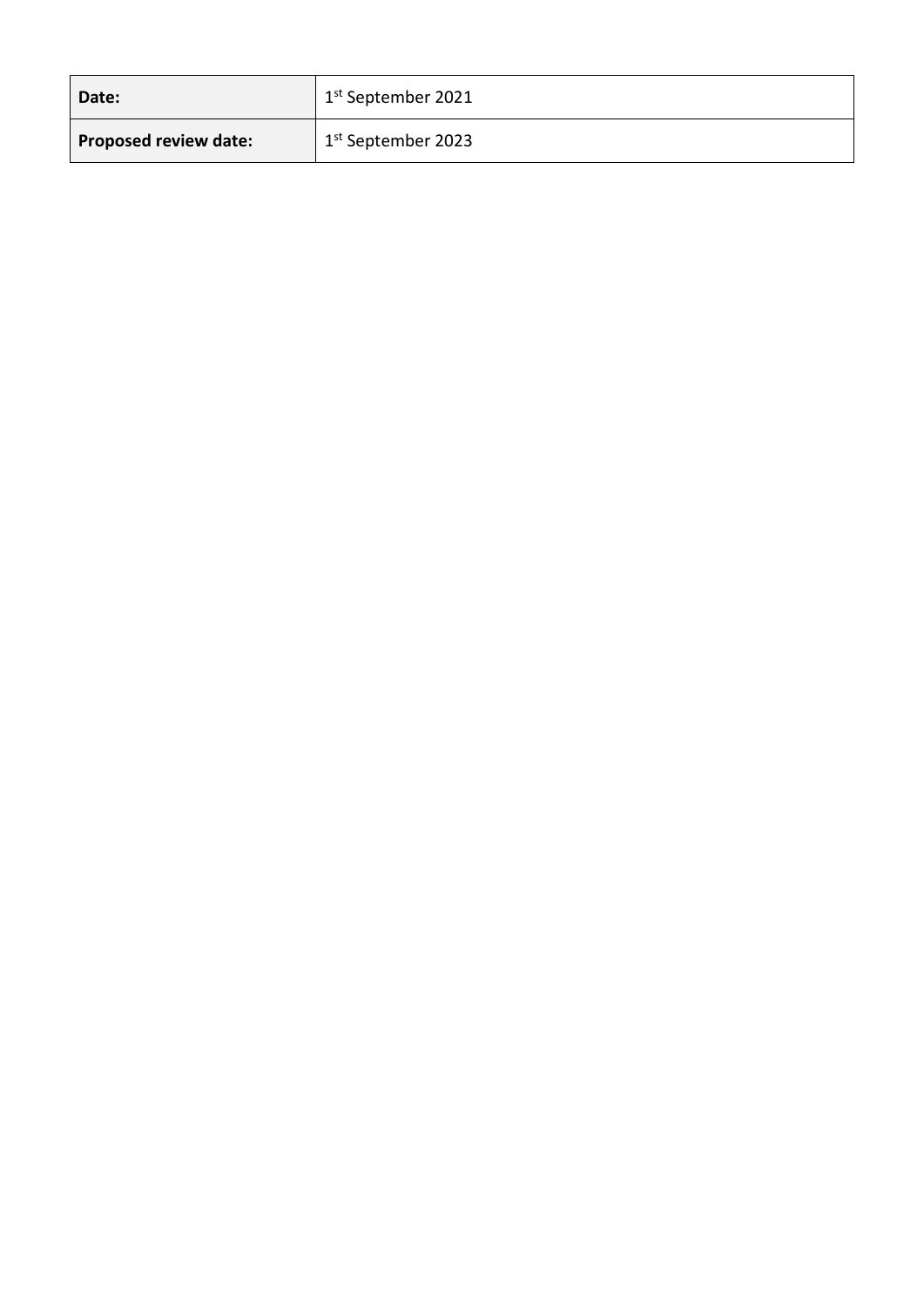| Date:                        | <sup>1</sup> 1 <sup>st</sup> September 2021 |
|------------------------------|---------------------------------------------|
| <b>Proposed review date:</b> | 1 <sup>st</sup> September 2023              |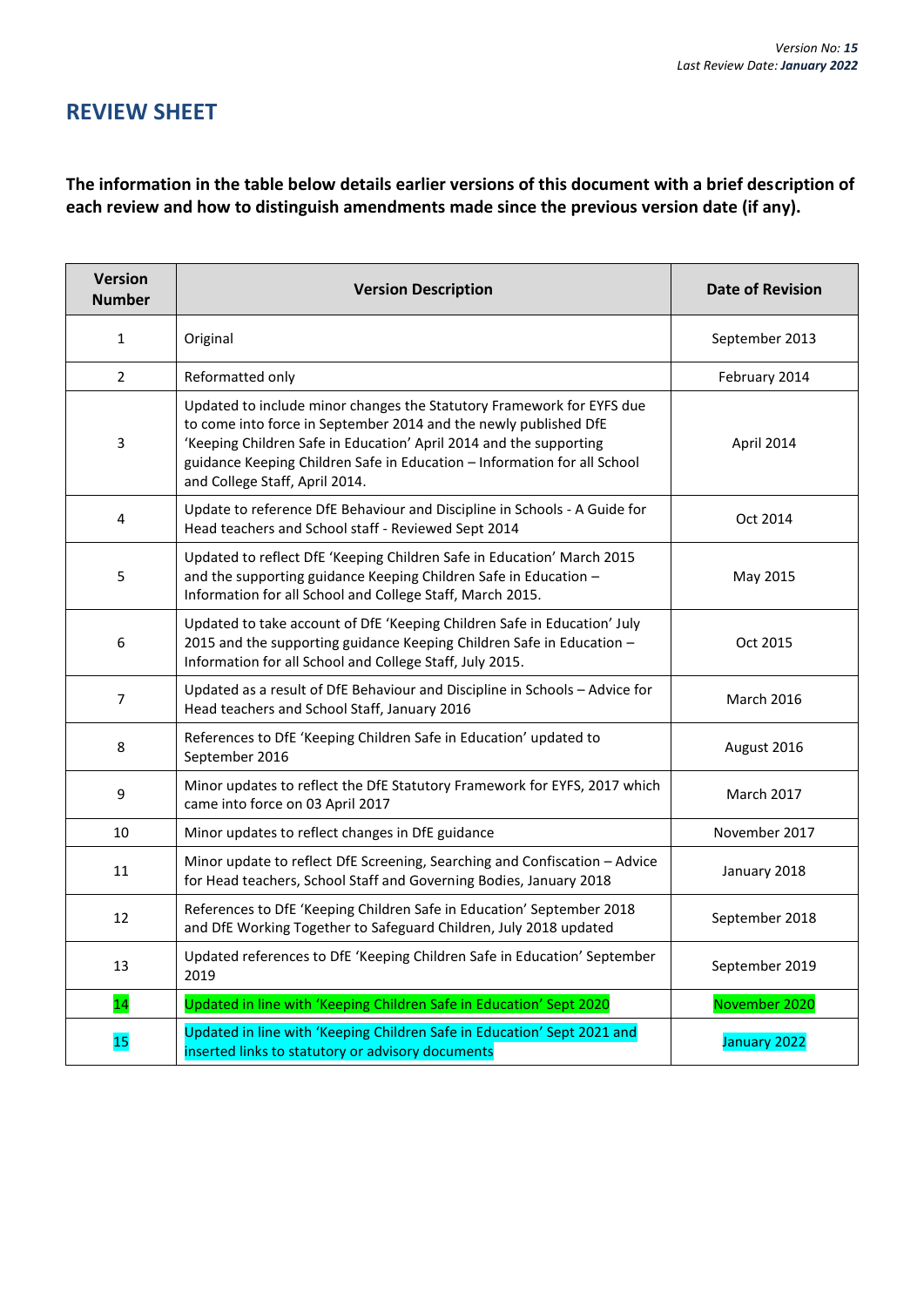# **REVIEW SHEET**

**The information in the table below details earlier versions of this document with a brief description of each review and how to distinguish amendments made since the previous version date (if any).**

| <b>Version</b><br><b>Number</b> | <b>Version Description</b>                                                                                                                                                                                                                                                                                                    | <b>Date of Revision</b> |
|---------------------------------|-------------------------------------------------------------------------------------------------------------------------------------------------------------------------------------------------------------------------------------------------------------------------------------------------------------------------------|-------------------------|
| $\mathbf{1}$                    | Original                                                                                                                                                                                                                                                                                                                      | September 2013          |
| $\overline{2}$                  | Reformatted only                                                                                                                                                                                                                                                                                                              | February 2014           |
| 3                               | Updated to include minor changes the Statutory Framework for EYFS due<br>to come into force in September 2014 and the newly published DfE<br>'Keeping Children Safe in Education' April 2014 and the supporting<br>guidance Keeping Children Safe in Education - Information for all School<br>and College Staff, April 2014. | April 2014              |
| 4                               | Update to reference DfE Behaviour and Discipline in Schools - A Guide for<br>Head teachers and School staff - Reviewed Sept 2014                                                                                                                                                                                              | Oct 2014                |
| 5                               | Updated to reflect DfE 'Keeping Children Safe in Education' March 2015<br>and the supporting guidance Keeping Children Safe in Education -<br>Information for all School and College Staff, March 2015.                                                                                                                       | May 2015                |
| 6                               | Updated to take account of DfE 'Keeping Children Safe in Education' July<br>2015 and the supporting guidance Keeping Children Safe in Education -<br>Information for all School and College Staff, July 2015.                                                                                                                 | Oct 2015                |
| $\overline{7}$                  | Updated as a result of DfE Behaviour and Discipline in Schools - Advice for<br>Head teachers and School Staff, January 2016                                                                                                                                                                                                   | <b>March 2016</b>       |
| 8                               | References to DfE 'Keeping Children Safe in Education' updated to<br>September 2016                                                                                                                                                                                                                                           | August 2016             |
| 9                               | Minor updates to reflect the DfE Statutory Framework for EYFS, 2017 which<br>came into force on 03 April 2017                                                                                                                                                                                                                 | <b>March 2017</b>       |
| 10                              | Minor updates to reflect changes in DfE guidance                                                                                                                                                                                                                                                                              | November 2017           |
| 11                              | Minor update to reflect DfE Screening, Searching and Confiscation - Advice<br>for Head teachers, School Staff and Governing Bodies, January 2018                                                                                                                                                                              | January 2018            |
| 12                              | References to DfE 'Keeping Children Safe in Education' September 2018<br>and DfE Working Together to Safeguard Children, July 2018 updated                                                                                                                                                                                    | September 2018          |
| 13                              | Updated references to DfE 'Keeping Children Safe in Education' September<br>2019                                                                                                                                                                                                                                              | September 2019          |
| 14                              | Updated in line with 'Keeping Children Safe in Education' Sept 2020                                                                                                                                                                                                                                                           | November 2020           |
| 15                              | Updated in line with 'Keeping Children Safe in Education' Sept 2021 and<br>inserted links to statutory or advisory documents                                                                                                                                                                                                  | January 2022            |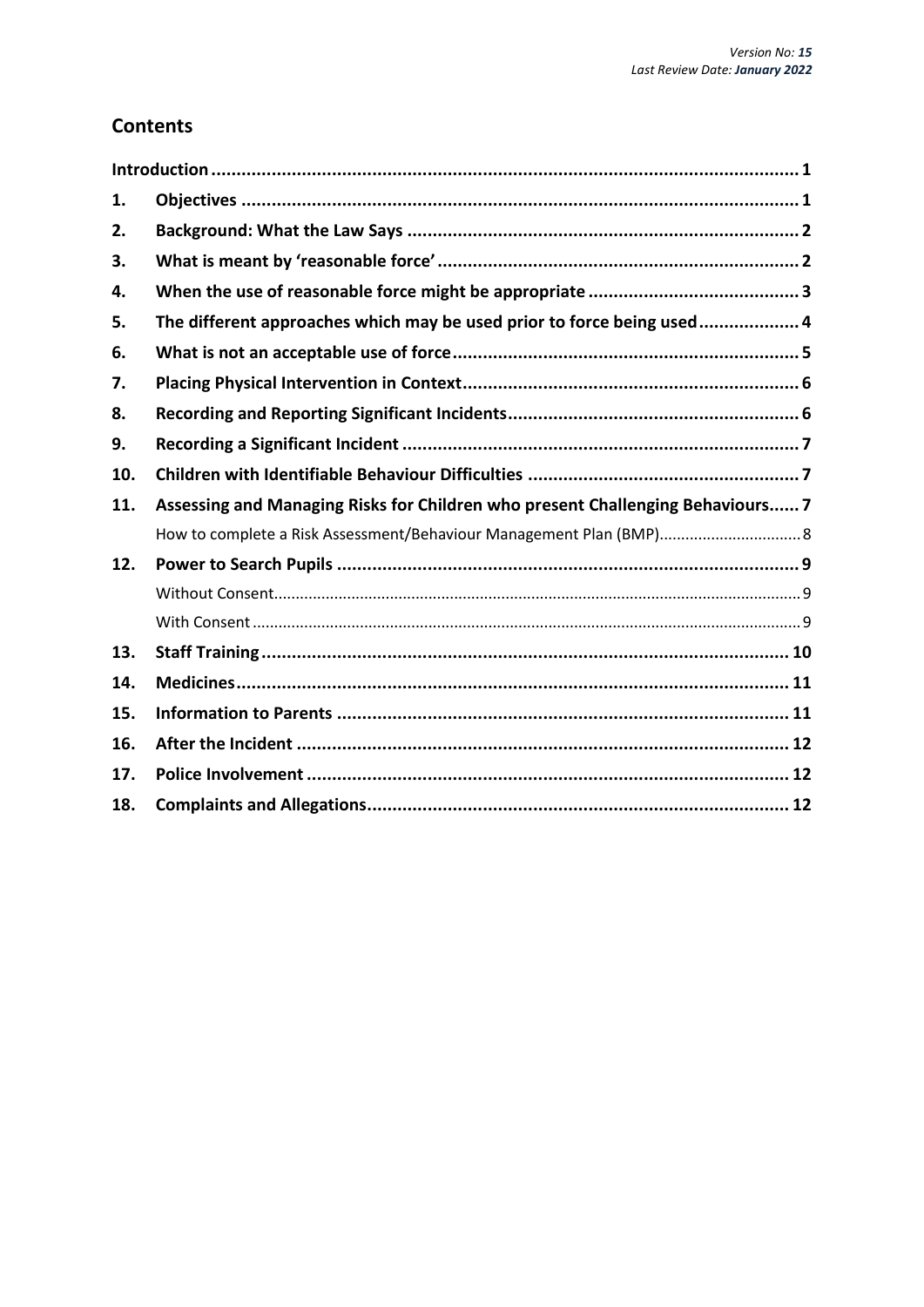# **Contents**

| 1.  |                                                                                |  |
|-----|--------------------------------------------------------------------------------|--|
| 2.  |                                                                                |  |
| 3.  |                                                                                |  |
| 4.  |                                                                                |  |
| 5.  | The different approaches which may be used prior to force being used 4         |  |
| 6.  |                                                                                |  |
| 7.  |                                                                                |  |
| 8.  |                                                                                |  |
| 9.  |                                                                                |  |
| 10. |                                                                                |  |
| 11. | Assessing and Managing Risks for Children who present Challenging Behaviours 7 |  |
|     | How to complete a Risk Assessment/Behaviour Management Plan (BMP) 8            |  |
| 12. |                                                                                |  |
|     |                                                                                |  |
|     |                                                                                |  |
| 13. |                                                                                |  |
| 14. |                                                                                |  |
| 15. |                                                                                |  |
| 16. |                                                                                |  |
| 17. |                                                                                |  |
| 18. |                                                                                |  |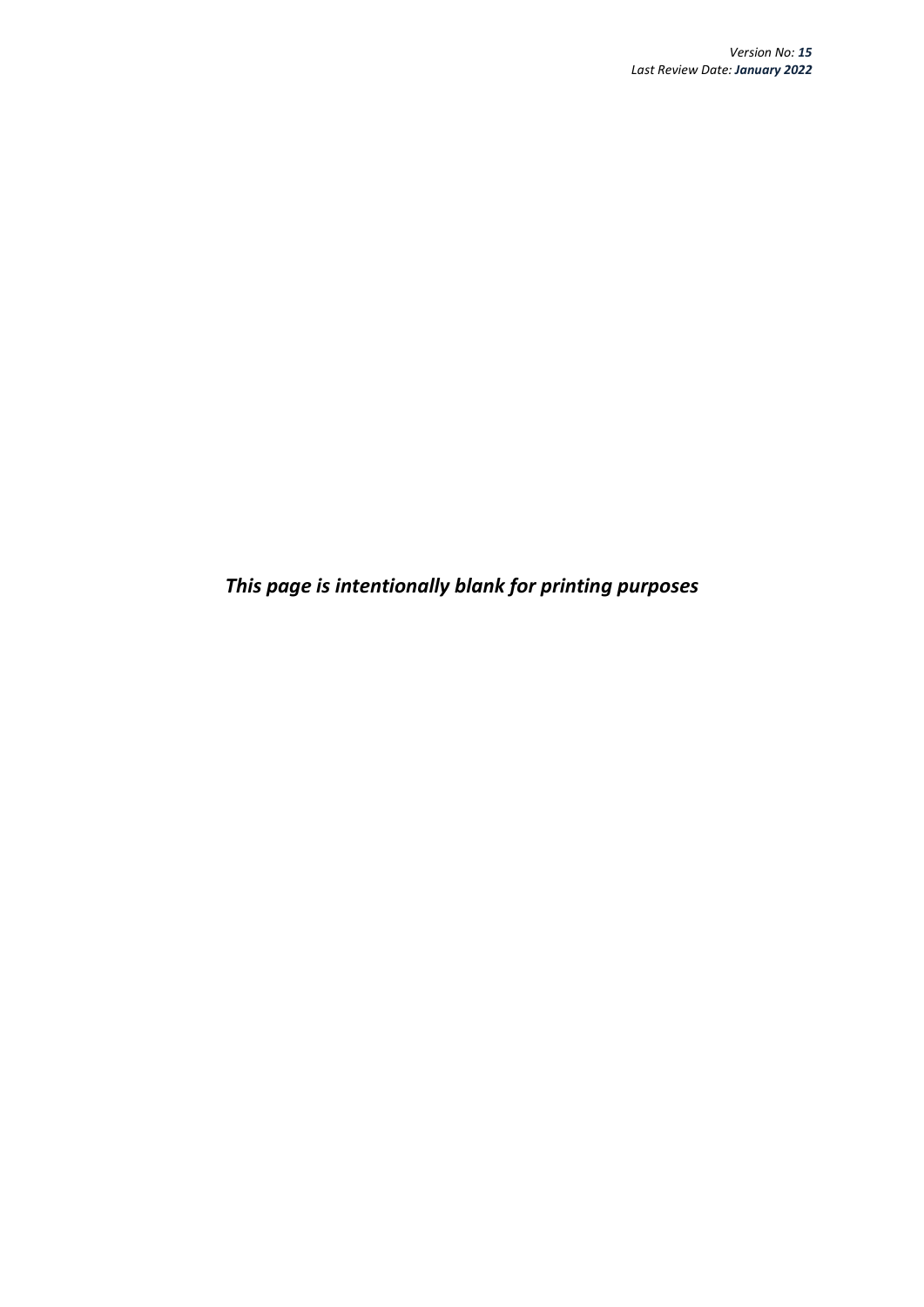*This page is intentionally blank for printing purposes*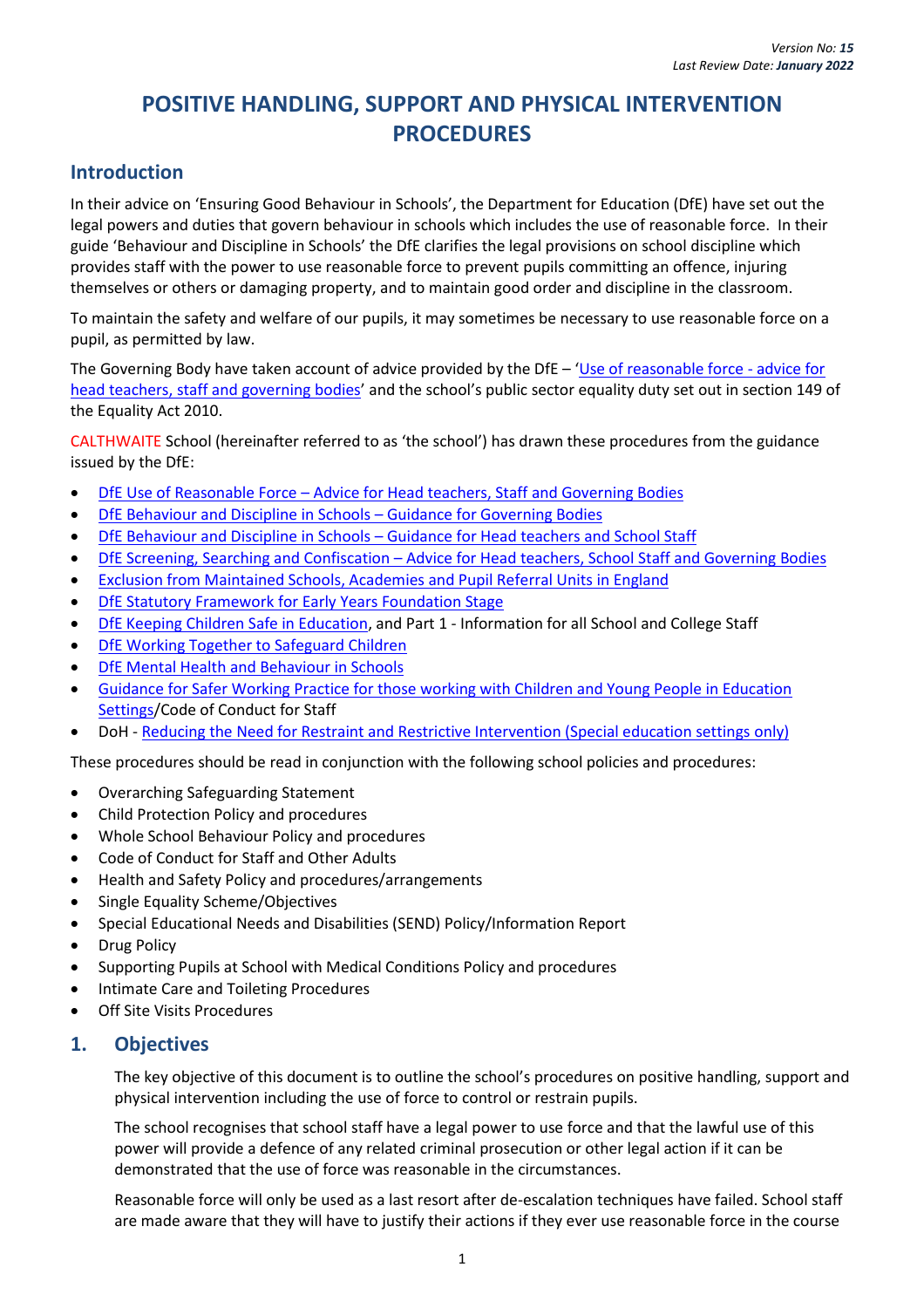# **POSITIVE HANDLING, SUPPORT AND PHYSICAL INTERVENTION PROCEDURES**

# <span id="page-5-0"></span>**Introduction**

In their advice on 'Ensuring Good Behaviour in Schools', the Department for Education (DfE) have set out the legal powers and duties that govern behaviour in schools which includes the use of reasonable force. In their guide 'Behaviour and Discipline in Schools' the DfE clarifies the legal provisions on school discipline which provides staff with the power to use reasonable force to prevent pupils committing an offence, injuring themselves or others or damaging property, and to maintain good order and discipline in the classroom.

To maintain the safety and welfare of our pupils, it may sometimes be necessary to use reasonable force on a pupil, as permitted by law.

The Governing Body have taken account of advice provided by the DfE – '[Use of reasonable force -](https://www.gov.uk/government/publications/use-of-reasonable-force-in-schools) advice for [head teachers, staff and governing bodies](https://www.gov.uk/government/publications/use-of-reasonable-force-in-schools)' and the school's public sector equality duty set out in section 149 of the Equality Act 2010.

CALTHWAITE School (hereinafter referred to as 'the school') has drawn these procedures from the guidance issued by the DfE:

- DfE Use of Reasonable Force [Advice for Head teachers, Staff and Governing Bodies](https://www.gov.uk/government/publications/use-of-reasonable-force-in-schools)
- [DfE Behaviour and Discipline in Schools](https://www.gov.uk/government/publications/behaviour-and-discipline-in-schools-guidance-for-governing-bodies)  Guidance for Governing Bodies
- DfE Behaviour and Discipline in Schools [Guidance for Head teachers and School Staff](https://www.gov.uk/government/publications/behaviour-and-discipline-in-schools-guidance-for-governing-bodies)
- DfE Screening, Searching and Confiscation [Advice for Head teachers, School Staff and Governing Bodies](https://www.gov.uk/government/publications/searching-screening-and-confiscation)
- [Exclusion from Maintained Schools, Academies and Pupil Referral Units in England](https://www.gov.uk/government/publications/school-exclusion)
- DfE Statutory [Framework for Early Years Foundation Stage](https://www.gov.uk/government/publications/early-years-foundation-stage-framework--2)
- [DfE Keeping Children Safe in Education,](https://www.gov.uk/government/publications/keeping-children-safe-in-education--2) and Part 1 Information for all School and College Staff
- [DfE Working Together to Safeguard Children](https://www.gov.uk/government/publications/working-together-to-safeguard-children--2)
- [DfE Mental Health and Behaviour in Schools](https://www.gov.uk/government/publications/mental-health-and-behaviour-in-schools--2)
- [Guidance for Safer Working Practice for those working with Children and Young People in Education](https://saferrecruitmentconsortium.org/)  [Settings/](https://saferrecruitmentconsortium.org/)Code of Conduct for Staff
- DoH [Reducing the Need for Restraint and Restrictive Intervention \(Special education settings](https://assets.publishing.service.gov.uk/government/uploads/system/uploads/attachment_data/file/812435/reducing-the-need-for-restraint-and-restrictive-intervention.pdf) only)

These procedures should be read in conjunction with the following school policies and procedures:

- Overarching Safeguarding Statement
- Child Protection Policy and procedures
- Whole School Behaviour Policy and procedures
- Code of Conduct for Staff and Other Adults
- Health and Safety Policy and procedures/arrangements
- Single Equality Scheme/Objectives
- Special Educational Needs and Disabilities (SEND) Policy/Information Report
- Drug Policy
- Supporting Pupils at School with Medical Conditions Policy and procedures
- Intimate Care and Toileting Procedures
- Off Site Visits Procedures

#### <span id="page-5-1"></span>**1. Objectives**

The key objective of this document is to outline the school's procedures on positive handling, support and physical intervention including the use of force to control or restrain pupils.

The school recognises that school staff have a legal power to use force and that the lawful use of this power will provide a defence of any related criminal prosecution or other legal action if it can be demonstrated that the use of force was reasonable in the circumstances.

Reasonable force will only be used as a last resort after de-escalation techniques have failed. School staff are made aware that they will have to justify their actions if they ever use reasonable force in the course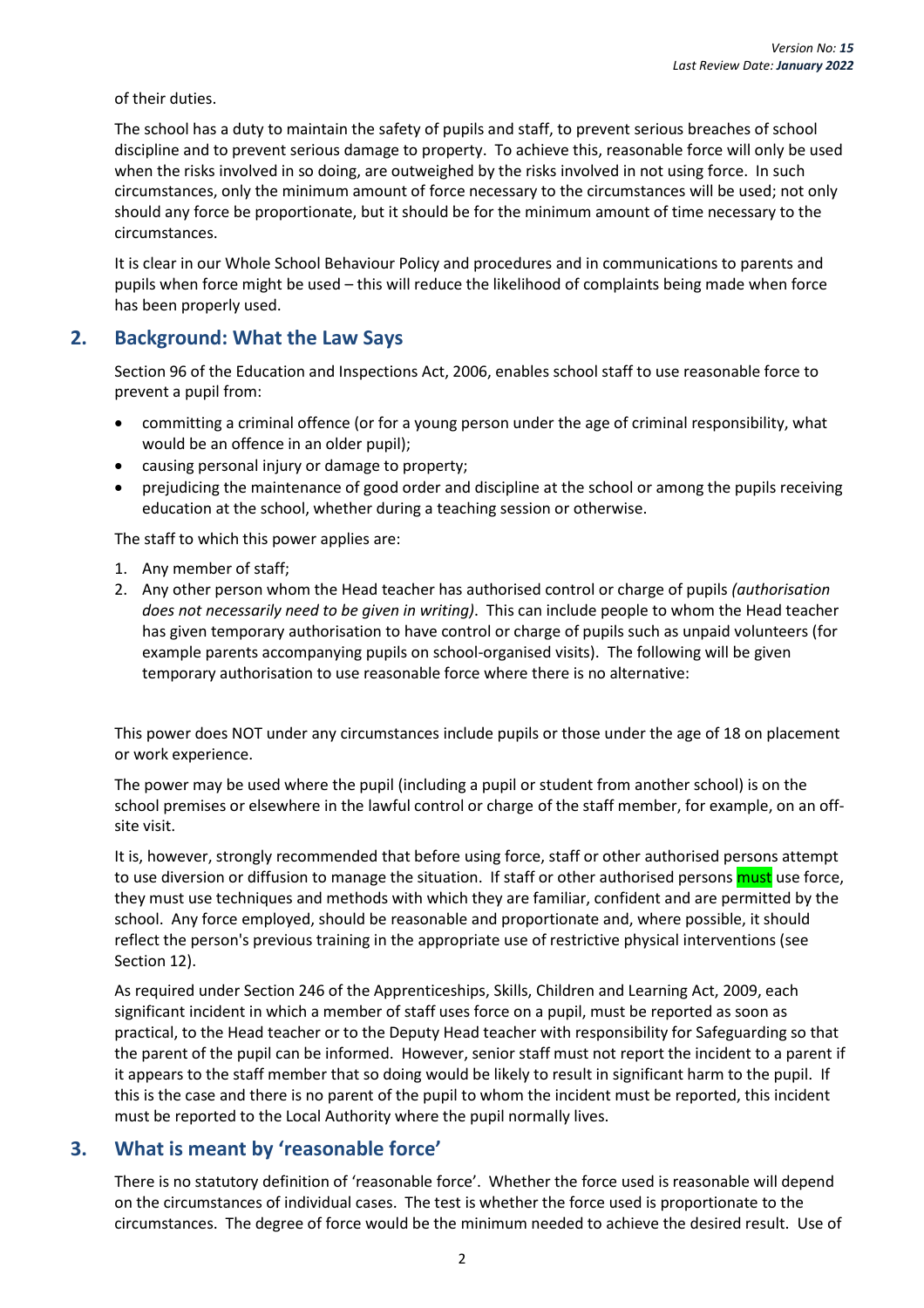of their duties.

The school has a duty to maintain the safety of pupils and staff, to prevent serious breaches of school discipline and to prevent serious damage to property. To achieve this, reasonable force will only be used when the risks involved in so doing, are outweighed by the risks involved in not using force. In such circumstances, only the minimum amount of force necessary to the circumstances will be used; not only should any force be proportionate, but it should be for the minimum amount of time necessary to the circumstances.

It is clear in our Whole School Behaviour Policy and procedures and in communications to parents and pupils when force might be used – this will reduce the likelihood of complaints being made when force has been properly used.

#### <span id="page-6-0"></span>**2. Background: What the Law Says**

Section 96 of the Education and Inspections Act, 2006, enables school staff to use reasonable force to prevent a pupil from:

- committing a criminal offence (or for a young person under the age of criminal responsibility, what would be an offence in an older pupil);
- causing personal injury or damage to property;
- prejudicing the maintenance of good order and discipline at the school or among the pupils receiving education at the school, whether during a teaching session or otherwise.

The staff to which this power applies are:

- 1. Any member of staff;
- 2. Any other person whom the Head teacher has authorised control or charge of pupils *(authorisation does not necessarily need to be given in writing)*. This can include people to whom the Head teacher has given temporary authorisation to have control or charge of pupils such as unpaid volunteers (for example parents accompanying pupils on school-organised visits). The following will be given temporary authorisation to use reasonable force where there is no alternative:

This power does NOT under any circumstances include pupils or those under the age of 18 on placement or work experience.

The power may be used where the pupil (including a pupil or student from another school) is on the school premises or elsewhere in the lawful control or charge of the staff member, for example, on an offsite visit.

It is, however, strongly recommended that before using force, staff or other authorised persons attempt to use diversion or diffusion to manage the situation. If staff or other authorised persons must use force, they must use techniques and methods with which they are familiar, confident and are permitted by the school. Any force employed, should be reasonable and proportionate and, where possible, it should reflect the person's previous training in the appropriate use of restrictive physical interventions (see Section 12).

As required under Section 246 of the Apprenticeships, Skills, Children and Learning Act, 2009, each significant incident in which a member of staff uses force on a pupil, must be reported as soon as practical, to the Head teacher or to the Deputy Head teacher with responsibility for Safeguarding so that the parent of the pupil can be informed. However, senior staff must not report the incident to a parent if it appears to the staff member that so doing would be likely to result in significant harm to the pupil. If this is the case and there is no parent of the pupil to whom the incident must be reported, this incident must be reported to the Local Authority where the pupil normally lives.

#### <span id="page-6-1"></span>**3. What is meant by 'reasonable force'**

There is no statutory definition of 'reasonable force'. Whether the force used is reasonable will depend on the circumstances of individual cases. The test is whether the force used is proportionate to the circumstances. The degree of force would be the minimum needed to achieve the desired result. Use of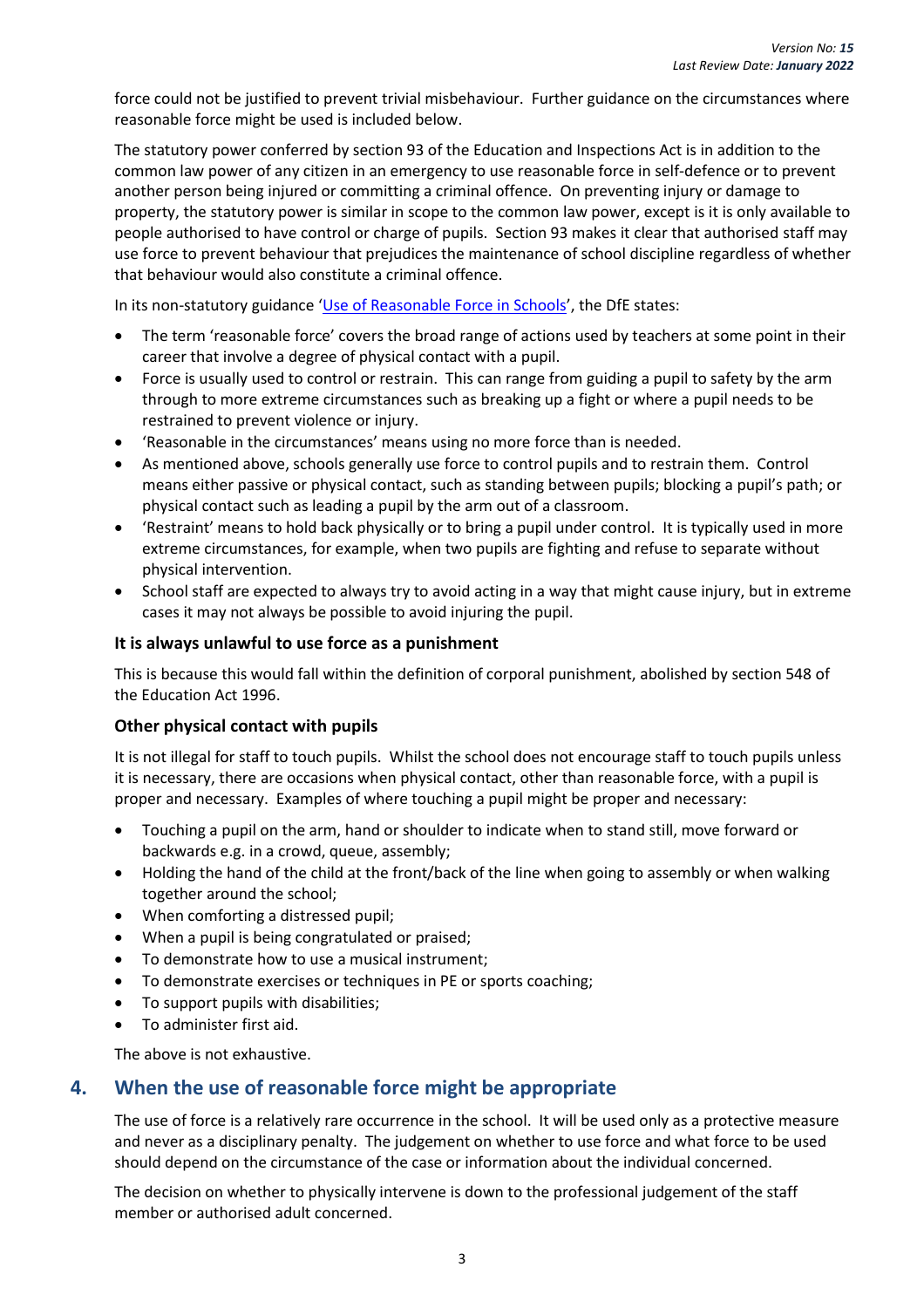force could not be justified to prevent trivial misbehaviour. Further guidance on the circumstances where reasonable force might be used is included below.

The statutory power conferred by section 93 of the Education and Inspections Act is in addition to the common law power of any citizen in an emergency to use reasonable force in self-defence or to prevent another person being injured or committing a criminal offence. On preventing injury or damage to property, the statutory power is similar in scope to the common law power, except is it is only available to people authorised to have control or charge of pupils. Section 93 makes it clear that authorised staff may use force to prevent behaviour that prejudices the maintenance of school discipline regardless of whether that behaviour would also constitute a criminal offence.

In its non-statutory guidance '[Use of Reasonable Force in Schools](https://www.gov.uk/government/publications/use-of-reasonable-force-in-schools)', the DfE states:

- The term 'reasonable force' covers the broad range of actions used by teachers at some point in their career that involve a degree of physical contact with a pupil.
- Force is usually used to control or restrain. This can range from guiding a pupil to safety by the arm through to more extreme circumstances such as breaking up a fight or where a pupil needs to be restrained to prevent violence or injury.
- 'Reasonable in the circumstances' means using no more force than is needed.
- As mentioned above, schools generally use force to control pupils and to restrain them. Control means either passive or physical contact, such as standing between pupils; blocking a pupil's path; or physical contact such as leading a pupil by the arm out of a classroom.
- 'Restraint' means to hold back physically or to bring a pupil under control. It is typically used in more extreme circumstances, for example, when two pupils are fighting and refuse to separate without physical intervention.
- School staff are expected to always try to avoid acting in a way that might cause injury, but in extreme cases it may not always be possible to avoid injuring the pupil.

#### **It is always unlawful to use force as a punishment**

This is because this would fall within the definition of corporal punishment, abolished by section 548 of the Education Act 1996.

#### **Other physical contact with pupils**

It is not illegal for staff to touch pupils. Whilst the school does not encourage staff to touch pupils unless it is necessary, there are occasions when physical contact, other than reasonable force, with a pupil is proper and necessary. Examples of where touching a pupil might be proper and necessary:

- Touching a pupil on the arm, hand or shoulder to indicate when to stand still, move forward or backwards e.g. in a crowd, queue, assembly;
- Holding the hand of the child at the front/back of the line when going to assembly or when walking together around the school;
- When comforting a distressed pupil;
- When a pupil is being congratulated or praised;
- To demonstrate how to use a musical instrument;
- To demonstrate exercises or techniques in PE or sports coaching;
- To support pupils with disabilities;
- To administer first aid.

The above is not exhaustive.

#### <span id="page-7-0"></span>**4. When the use of reasonable force might be appropriate**

The use of force is a relatively rare occurrence in the school. It will be used only as a protective measure and never as a disciplinary penalty. The judgement on whether to use force and what force to be used should depend on the circumstance of the case or information about the individual concerned.

The decision on whether to physically intervene is down to the professional judgement of the staff member or authorised adult concerned.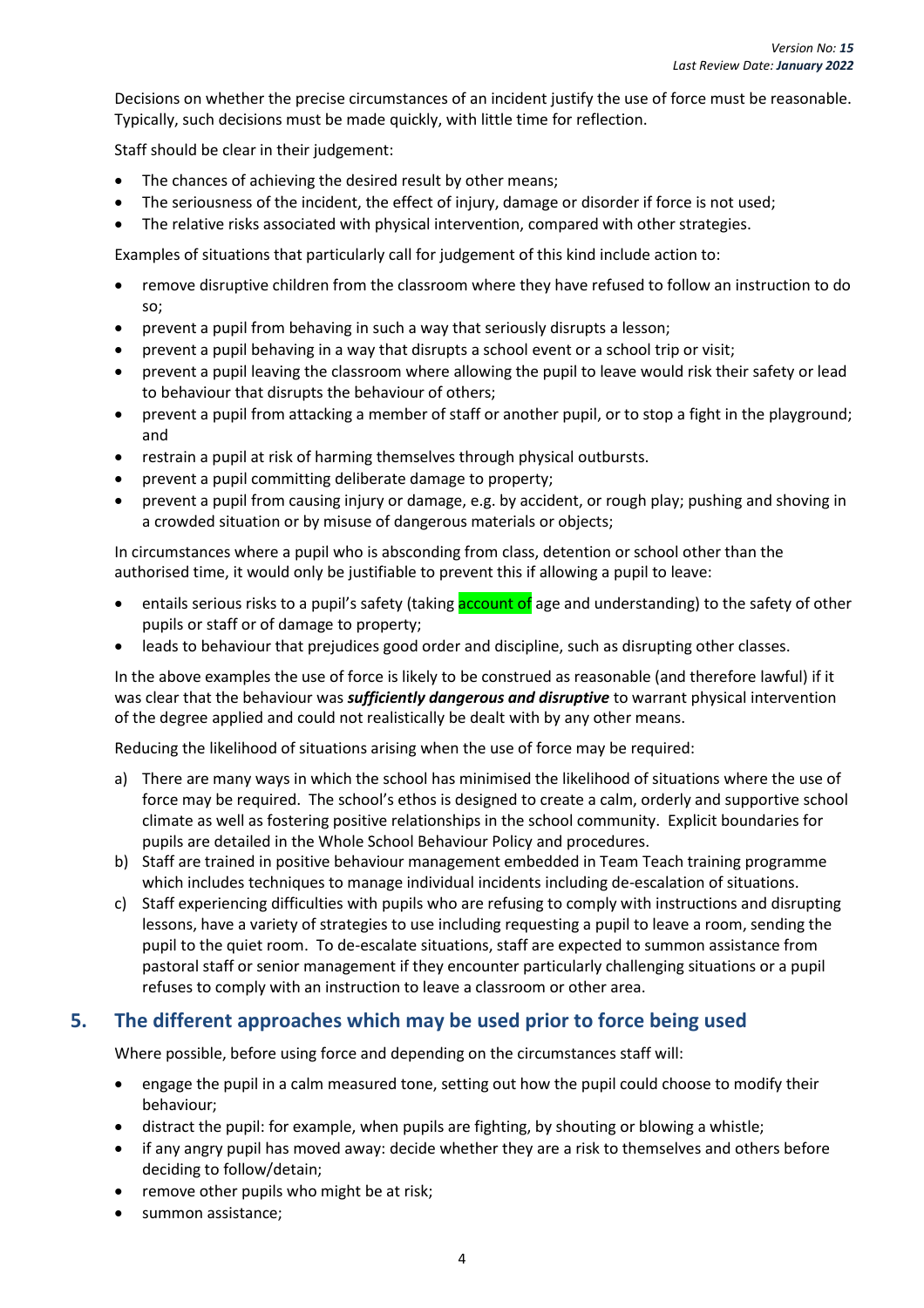Decisions on whether the precise circumstances of an incident justify the use of force must be reasonable. Typically, such decisions must be made quickly, with little time for reflection.

Staff should be clear in their judgement:

- The chances of achieving the desired result by other means;
- The seriousness of the incident, the effect of injury, damage or disorder if force is not used;
- The relative risks associated with physical intervention, compared with other strategies.

Examples of situations that particularly call for judgement of this kind include action to:

- remove disruptive children from the classroom where they have refused to follow an instruction to do so;
- prevent a pupil from behaving in such a way that seriously disrupts a lesson;
- prevent a pupil behaving in a way that disrupts a school event or a school trip or visit;
- prevent a pupil leaving the classroom where allowing the pupil to leave would risk their safety or lead to behaviour that disrupts the behaviour of others;
- prevent a pupil from attacking a member of staff or another pupil, or to stop a fight in the playground; and
- restrain a pupil at risk of harming themselves through physical outbursts.
- prevent a pupil committing deliberate damage to property;
- prevent a pupil from causing injury or damage, e.g. by accident, or rough play; pushing and shoving in a crowded situation or by misuse of dangerous materials or objects;

In circumstances where a pupil who is absconding from class, detention or school other than the authorised time, it would only be justifiable to prevent this if allowing a pupil to leave:

- entails serious risks to a pupil's safety (taking **account of** age and understanding) to the safety of other pupils or staff or of damage to property;
- leads to behaviour that prejudices good order and discipline, such as disrupting other classes.

In the above examples the use of force is likely to be construed as reasonable (and therefore lawful) if it was clear that the behaviour was *sufficiently dangerous and disruptive* to warrant physical intervention of the degree applied and could not realistically be dealt with by any other means.

Reducing the likelihood of situations arising when the use of force may be required:

- a) There are many ways in which the school has minimised the likelihood of situations where the use of force may be required. The school's ethos is designed to create a calm, orderly and supportive school climate as well as fostering positive relationships in the school community. Explicit boundaries for pupils are detailed in the Whole School Behaviour Policy and procedures.
- b) Staff are trained in positive behaviour management embedded in Team Teach training programme which includes techniques to manage individual incidents including de-escalation of situations.
- c) Staff experiencing difficulties with pupils who are refusing to comply with instructions and disrupting lessons, have a variety of strategies to use including requesting a pupil to leave a room, sending the pupil to the quiet room. To de-escalate situations, staff are expected to summon assistance from pastoral staff or senior management if they encounter particularly challenging situations or a pupil refuses to comply with an instruction to leave a classroom or other area.

#### <span id="page-8-0"></span>**5. The different approaches which may be used prior to force being used**

Where possible, before using force and depending on the circumstances staff will:

- engage the pupil in a calm measured tone, setting out how the pupil could choose to modify their behaviour;
- distract the pupil: for example, when pupils are fighting, by shouting or blowing a whistle;
- if any angry pupil has moved away: decide whether they are a risk to themselves and others before deciding to follow/detain;
- remove other pupils who might be at risk;
- summon assistance;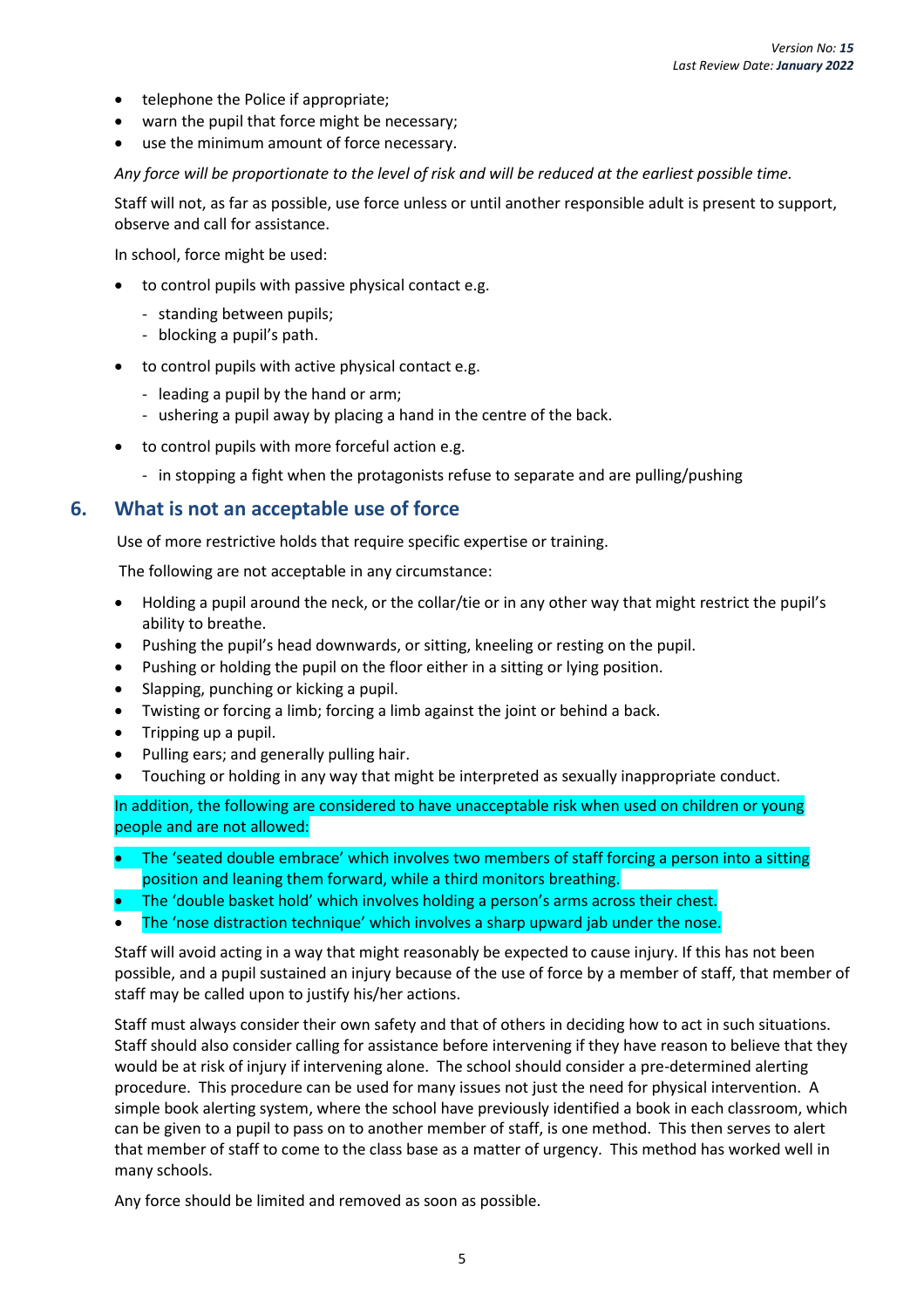- telephone the Police if appropriate;
- warn the pupil that force might be necessary;
- use the minimum amount of force necessary.

*Any force will be proportionate to the level of risk and will be reduced at the earliest possible time.*

Staff will not, as far as possible, use force unless or until another responsible adult is present to support, observe and call for assistance.

In school, force might be used:

- to control pupils with passive physical contact e.g.
	- standing between pupils;
	- blocking a pupil's path.
- to control pupils with active physical contact e.g.
	- leading a pupil by the hand or arm;
	- ushering a pupil away by placing a hand in the centre of the back.
- to control pupils with more forceful action e.g.
	- in stopping a fight when the protagonists refuse to separate and are pulling/pushing

#### <span id="page-9-0"></span>**6. What is not an acceptable use of force**

Use of more restrictive holds that require specific expertise or training.

The following are not acceptable in any circumstance:

- Holding a pupil around the neck, or the collar/tie or in any other way that might restrict the pupil's ability to breathe.
- Pushing the pupil's head downwards, or sitting, kneeling or resting on the pupil.
- Pushing or holding the pupil on the floor either in a sitting or lying position.
- Slapping, punching or kicking a pupil.
- Twisting or forcing a limb; forcing a limb against the joint or behind a back.
- Tripping up a pupil.
- Pulling ears; and generally pulling hair.
- Touching or holding in any way that might be interpreted as sexually inappropriate conduct.

In addition, the following are considered to have unacceptable risk when used on children or young people and are not allowed:

- The 'seated double embrace' which involves two members of staff forcing a person into a sitting position and leaning them forward, while a third monitors breathing.
- The 'double basket hold' which involves holding a person's arms across their chest.
- The 'nose distraction technique' which involves a sharp upward jab under the nose.

Staff will avoid acting in a way that might reasonably be expected to cause injury. If this has not been possible, and a pupil sustained an injury because of the use of force by a member of staff, that member of staff may be called upon to justify his/her actions.

Staff must always consider their own safety and that of others in deciding how to act in such situations. Staff should also consider calling for assistance before intervening if they have reason to believe that they would be at risk of injury if intervening alone. The school should consider a pre-determined alerting procedure. This procedure can be used for many issues not just the need for physical intervention. A simple book alerting system, where the school have previously identified a book in each classroom, which can be given to a pupil to pass on to another member of staff, is one method. This then serves to alert that member of staff to come to the class base as a matter of urgency. This method has worked well in many schools.

Any force should be limited and removed as soon as possible.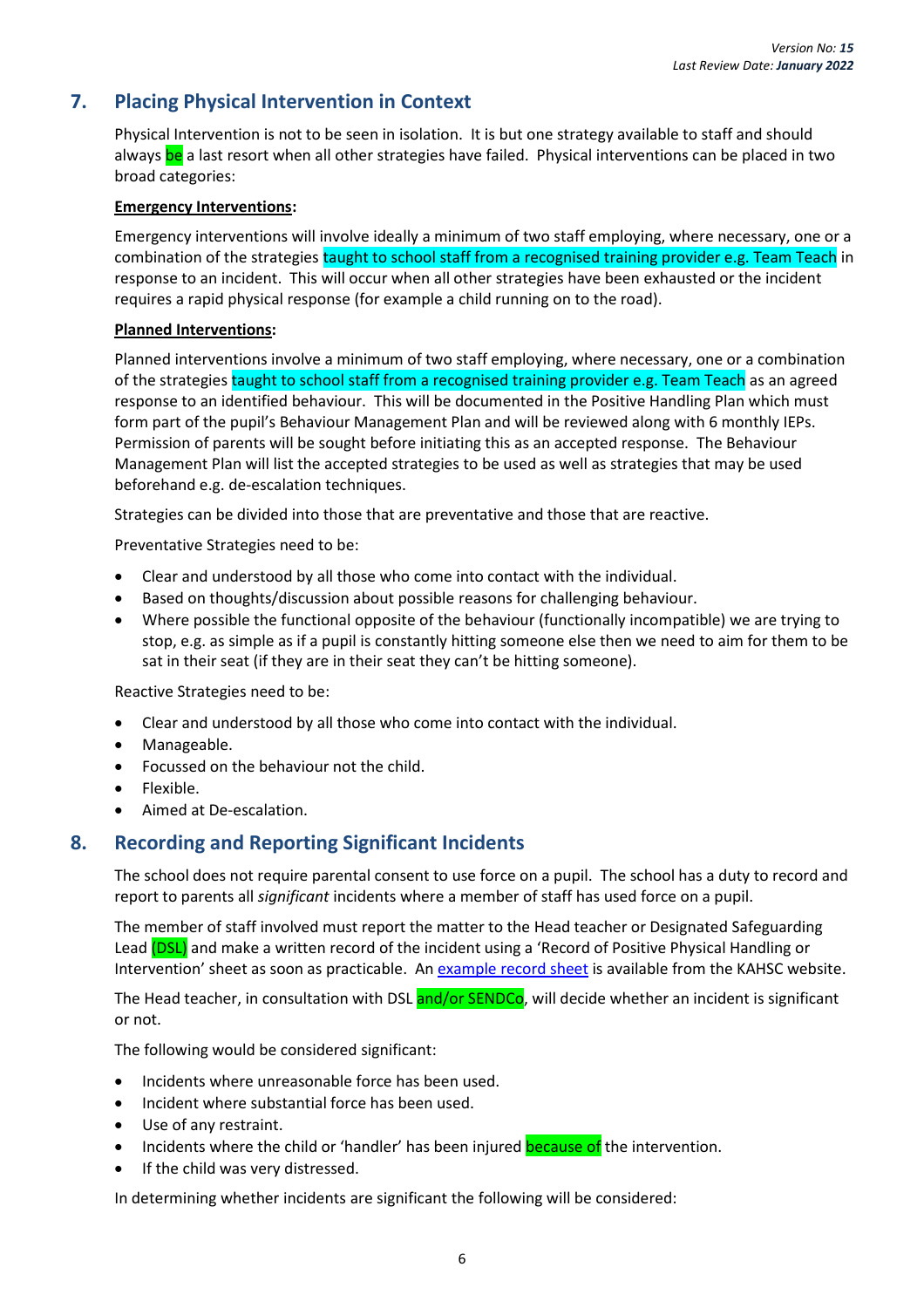# <span id="page-10-0"></span>**7. Placing Physical Intervention in Context**

Physical Intervention is not to be seen in isolation. It is but one strategy available to staff and should always be a last resort when all other strategies have failed. Physical interventions can be placed in two broad categories:

#### **Emergency Interventions:**

Emergency interventions will involve ideally a minimum of two staff employing, where necessary, one or a combination of the strategies taught to school staff from a recognised training provider e.g. Team Teach in response to an incident. This will occur when all other strategies have been exhausted or the incident requires a rapid physical response (for example a child running on to the road).

#### **Planned Interventions:**

Planned interventions involve a minimum of two staff employing, where necessary, one or a combination of the strategies taught to school staff from a recognised training provider e.g. Team Teach as an agreed response to an identified behaviour. This will be documented in the Positive Handling Plan which must form part of the pupil's Behaviour Management Plan and will be reviewed along with 6 monthly IEPs. Permission of parents will be sought before initiating this as an accepted response. The Behaviour Management Plan will list the accepted strategies to be used as well as strategies that may be used beforehand e.g. de-escalation techniques.

Strategies can be divided into those that are preventative and those that are reactive.

Preventative Strategies need to be:

- Clear and understood by all those who come into contact with the individual.
- Based on thoughts/discussion about possible reasons for challenging behaviour.
- Where possible the functional opposite of the behaviour (functionally incompatible) we are trying to stop, e.g. as simple as if a pupil is constantly hitting someone else then we need to aim for them to be sat in their seat (if they are in their seat they can't be hitting someone).

Reactive Strategies need to be:

- Clear and understood by all those who come into contact with the individual.
- Manageable.
- Focussed on the behaviour not the child.
- Flexible.
- Aimed at De-escalation.

## <span id="page-10-1"></span>**8. Recording and Reporting Significant Incidents**

The school does not require parental consent to use force on a pupil. The school has a duty to record and report to parents all *significant* incidents where a member of staff has used force on a pupil.

The member of staff involved must report the matter to the Head teacher or Designated Safeguarding Lead (DSL) and make a written record of the incident using a 'Record of Positive Physical Handling or Intervention' sheet as soon as practicable. An example [record sheet](https://www.kymallanhsc.co.uk/Document/DownloadDocument/8445) is available from the KAHSC website.

The Head teacher, in consultation with DSL and/or SENDCo, will decide whether an incident is significant or not.

The following would be considered significant:

- Incidents where unreasonable force has been used.
- Incident where substantial force has been used.
- Use of any restraint.
- Incidents where the child or 'handler' has been injured **because of** the intervention.
- If the child was very distressed.

In determining whether incidents are significant the following will be considered: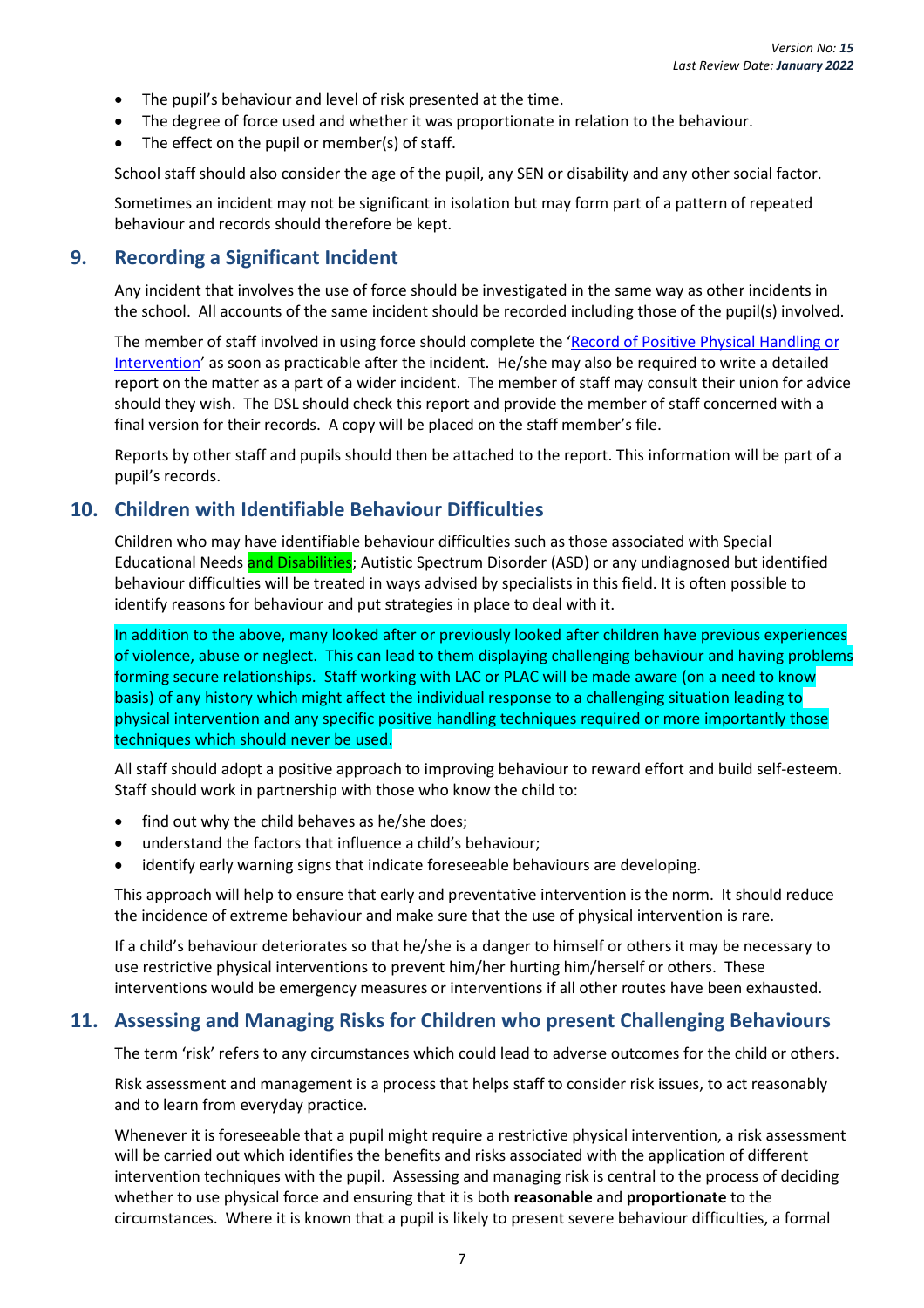- The pupil's behaviour and level of risk presented at the time.
- The degree of force used and whether it was proportionate in relation to the behaviour.
- The effect on the pupil or member(s) of staff.

School staff should also consider the age of the pupil, any SEN or disability and any other social factor.

Sometimes an incident may not be significant in isolation but may form part of a pattern of repeated behaviour and records should therefore be kept.

#### <span id="page-11-0"></span>**9. Recording a Significant Incident**

Any incident that involves the use of force should be investigated in the same way as other incidents in the school. All accounts of the same incident should be recorded including those of the pupil(s) involved.

The member of staff involved in using force should complete the 'Record of Positive Physical Handling or [Intervention](https://www.kymallanhsc.co.uk/Document/DownloadDocument/8445)' as soon as practicable after the incident. He/she may also be required to write a detailed report on the matter as a part of a wider incident. The member of staff may consult their union for advice should they wish. The DSL should check this report and provide the member of staff concerned with a final version for their records. A copy will be placed on the staff member's file.

Reports by other staff and pupils should then be attached to the report. This information will be part of a pupil's records.

#### <span id="page-11-1"></span>**10. Children with Identifiable Behaviour Difficulties**

Children who may have identifiable behaviour difficulties such as those associated with Special Educational Needs and Disabilities; Autistic Spectrum Disorder (ASD) or any undiagnosed but identified behaviour difficulties will be treated in ways advised by specialists in this field. It is often possible to identify reasons for behaviour and put strategies in place to deal with it.

In addition to the above, many looked after or previously looked after children have previous experiences of violence, abuse or neglect. This can lead to them displaying challenging behaviour and having problems forming secure relationships. Staff working with LAC or PLAC will be made aware (on a need to know basis) of any history which might affect the individual response to a challenging situation leading to physical intervention and any specific positive handling techniques required or more importantly those techniques which should never be used.

All staff should adopt a positive approach to improving behaviour to reward effort and build self-esteem. Staff should work in partnership with those who know the child to:

- find out why the child behaves as he/she does;
- understand the factors that influence a child's behaviour;
- identify early warning signs that indicate foreseeable behaviours are developing.

This approach will help to ensure that early and preventative intervention is the norm. It should reduce the incidence of extreme behaviour and make sure that the use of physical intervention is rare.

If a child's behaviour deteriorates so that he/she is a danger to himself or others it may be necessary to use restrictive physical interventions to prevent him/her hurting him/herself or others. These interventions would be emergency measures or interventions if all other routes have been exhausted.

## <span id="page-11-2"></span>**11. Assessing and Managing Risks for Children who present Challenging Behaviours**

The term 'risk' refers to any circumstances which could lead to adverse outcomes for the child or others.

Risk assessment and management is a process that helps staff to consider risk issues, to act reasonably and to learn from everyday practice.

Whenever it is foreseeable that a pupil might require a restrictive physical intervention, a risk assessment will be carried out which identifies the benefits and risks associated with the application of different intervention techniques with the pupil. Assessing and managing risk is central to the process of deciding whether to use physical force and ensuring that it is both **reasonable** and **proportionate** to the circumstances. Where it is known that a pupil is likely to present severe behaviour difficulties, a formal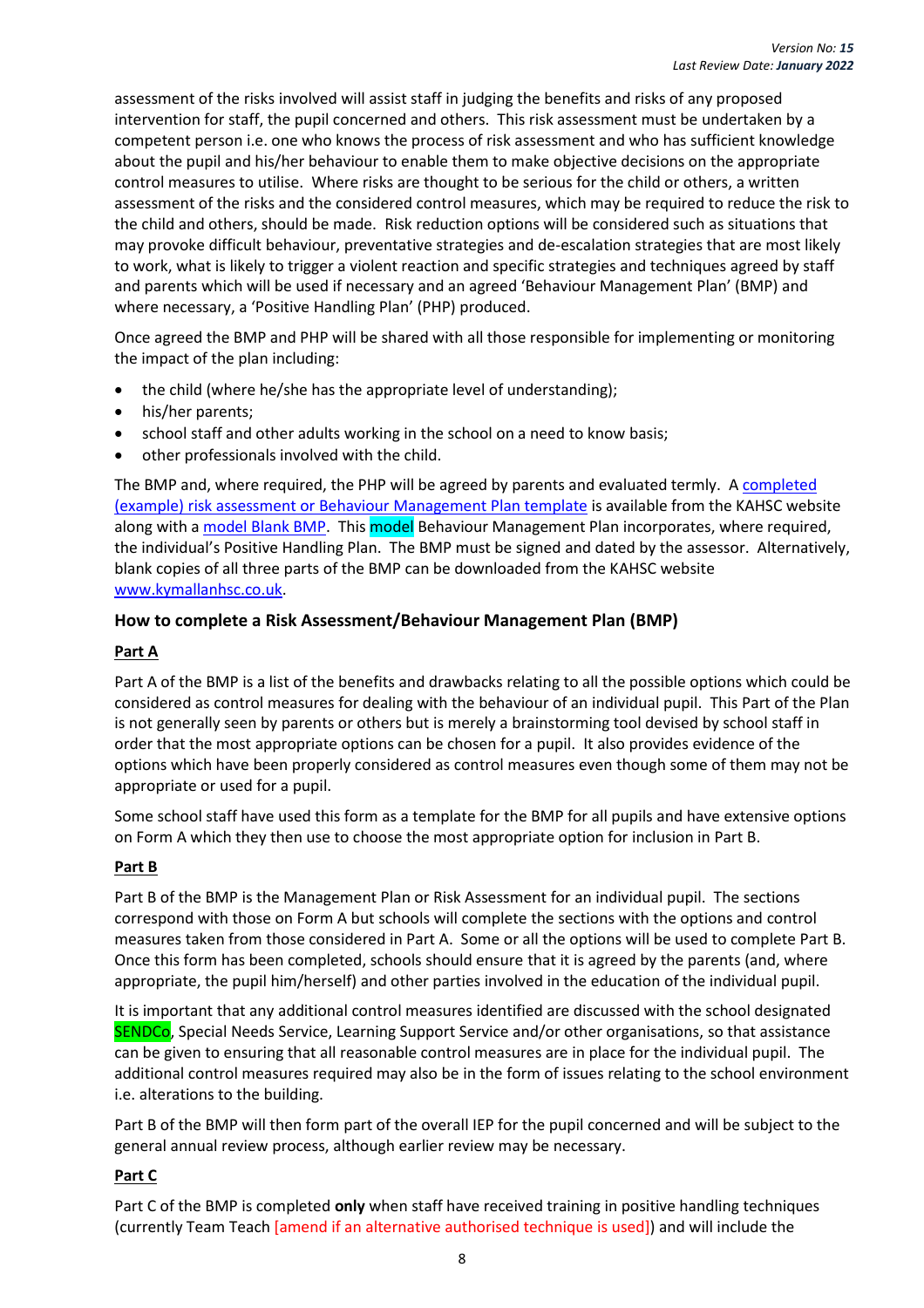assessment of the risks involved will assist staff in judging the benefits and risks of any proposed intervention for staff, the pupil concerned and others. This risk assessment must be undertaken by a competent person i.e. one who knows the process of risk assessment and who has sufficient knowledge about the pupil and his/her behaviour to enable them to make objective decisions on the appropriate control measures to utilise. Where risks are thought to be serious for the child or others, a written assessment of the risks and the considered control measures, which may be required to reduce the risk to the child and others, should be made. Risk reduction options will be considered such as situations that may provoke difficult behaviour, preventative strategies and de-escalation strategies that are most likely to work, what is likely to trigger a violent reaction and specific strategies and techniques agreed by staff and parents which will be used if necessary and an agreed 'Behaviour Management Plan' (BMP) and where necessary, a 'Positive Handling Plan' (PHP) produced.

Once agreed the BMP and PHP will be shared with all those responsible for implementing or monitoring the impact of the plan including:

- the child (where he/she has the appropriate level of understanding);
- his/her parents;
- school staff and other adults working in the school on a need to know basis;
- other professionals involved with the child.

The BMP and, where required, the PHP will be agreed by parents and evaluated termly. A completed [\(example\) risk assessment or Behaviour Management Plan template](https://www.kymallanhsc.co.uk/Document/DownloadDocument/9036) is available from the KAHSC website along with a [model Blank BMP.](https://www.kymallanhsc.co.uk/Document/DownloadDocument/9035) This model Behaviour Management Plan incorporates, where required, the individual's Positive Handling Plan. The BMP must be signed and dated by the assessor. Alternatively, blank copies of all three parts of the BMP can be downloaded from the KAHSC website [www.kymallanhsc.co.uk.](http://www.kymallanhsc.co.uk/)

#### <span id="page-12-0"></span>**How to complete a Risk Assessment/Behaviour Management Plan (BMP)**

#### **Part A**

Part A of the BMP is a list of the benefits and drawbacks relating to all the possible options which could be considered as control measures for dealing with the behaviour of an individual pupil. This Part of the Plan is not generally seen by parents or others but is merely a brainstorming tool devised by school staff in order that the most appropriate options can be chosen for a pupil. It also provides evidence of the options which have been properly considered as control measures even though some of them may not be appropriate or used for a pupil.

Some school staff have used this form as a template for the BMP for all pupils and have extensive options on Form A which they then use to choose the most appropriate option for inclusion in Part B.

#### **Part B**

Part B of the BMP is the Management Plan or Risk Assessment for an individual pupil. The sections correspond with those on Form A but schools will complete the sections with the options and control measures taken from those considered in Part A. Some or all the options will be used to complete Part B. Once this form has been completed, schools should ensure that it is agreed by the parents (and, where appropriate, the pupil him/herself) and other parties involved in the education of the individual pupil.

It is important that any additional control measures identified are discussed with the school designated SENDCo, Special Needs Service, Learning Support Service and/or other organisations, so that assistance can be given to ensuring that all reasonable control measures are in place for the individual pupil. The additional control measures required may also be in the form of issues relating to the school environment i.e. alterations to the building.

Part B of the BMP will then form part of the overall IEP for the pupil concerned and will be subject to the general annual review process, although earlier review may be necessary.

#### **Part C**

Part C of the BMP is completed **only** when staff have received training in positive handling techniques (currently Team Teach [amend if an alternative authorised technique is used]) and will include the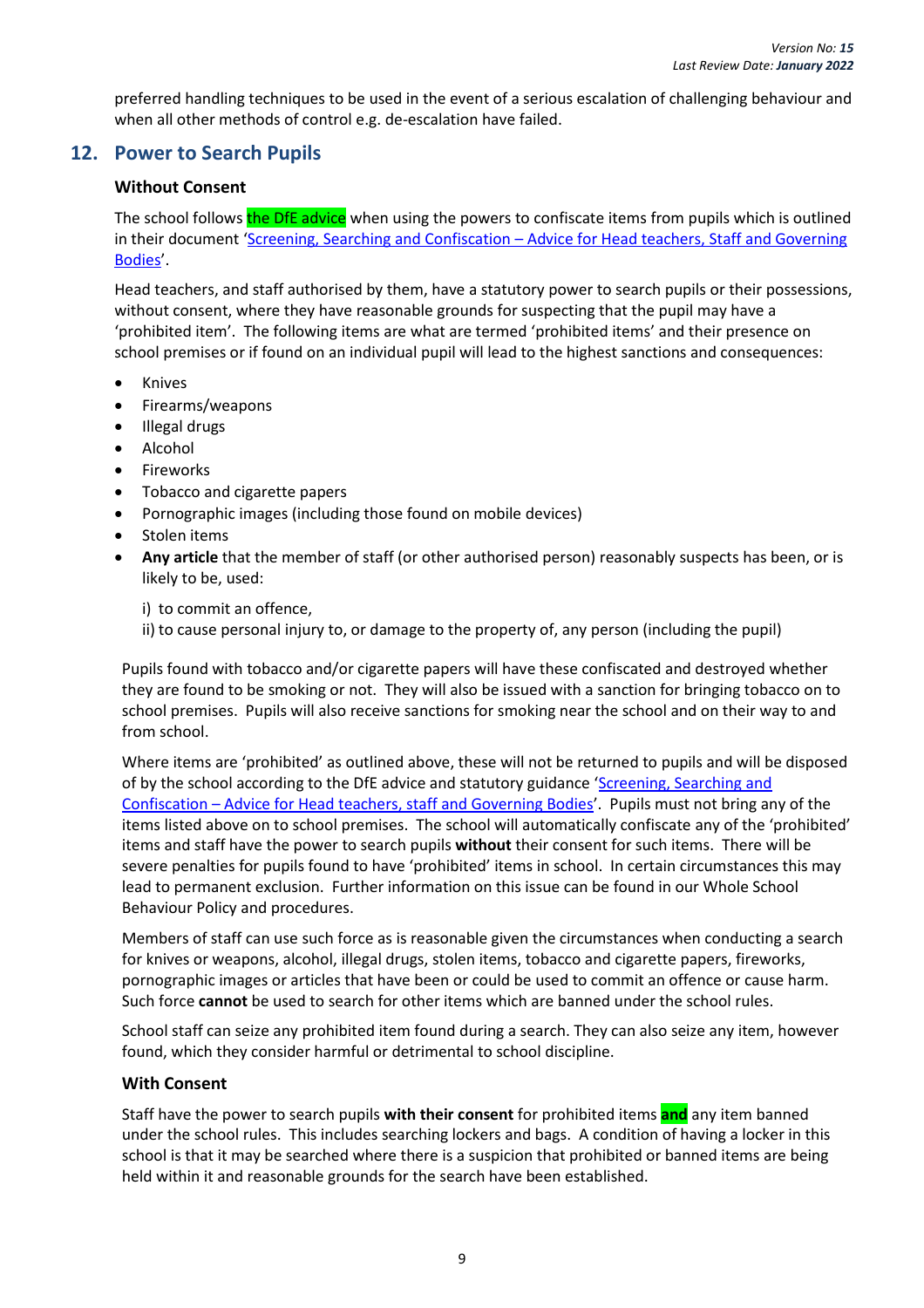preferred handling techniques to be used in the event of a serious escalation of challenging behaviour and when all other methods of control e.g. de-escalation have failed.

# <span id="page-13-1"></span><span id="page-13-0"></span>**12. Power to Search Pupils**

#### **Without Consent**

The school follows the DfE advice when using the powers to confiscate items from pupils which is outlined in their document 'Screening, Searching and Confiscation – [Advice for Head teachers, Staff and Governing](https://www.gov.uk/government/publications/searching-screening-and-confiscation)  [Bodies](https://www.gov.uk/government/publications/searching-screening-and-confiscation)'.

Head teachers, and staff authorised by them, have a statutory power to search pupils or their possessions, without consent, where they have reasonable grounds for suspecting that the pupil may have a 'prohibited item'. The following items are what are termed 'prohibited items' and their presence on school premises or if found on an individual pupil will lead to the highest sanctions and consequences:

- **Knives**
- Firearms/weapons
- Illegal drugs
- Alcohol
- Fireworks
- Tobacco and cigarette papers
- Pornographic images (including those found on mobile devices)
- Stolen items
- **Any article** that the member of staff (or other authorised person) reasonably suspects has been, or is likely to be, used:

i) to commit an offence,

ii) to cause personal injury to, or damage to the property of, any person (including the pupil)

Pupils found with tobacco and/or cigarette papers will have these confiscated and destroyed whether they are found to be smoking or not. They will also be issued with a sanction for bringing tobacco on to school premises. Pupils will also receive sanctions for smoking near the school and on their way to and from school.

Where items are 'prohibited' as outlined above, these will not be returned to pupils and will be disposed of by the school according to the DfE advice and statutory guidance '[Screening, Searching](https://www.gov.uk/government/publications/searching-screening-and-confiscation) and Confiscation – [Advice for Head teachers,](https://www.gov.uk/government/publications/searching-screening-and-confiscation) staff and Governing Bodies'. Pupils must not bring any of the items listed above on to school premises. The school will automatically confiscate any of the 'prohibited' items and staff have the power to search pupils **without** their consent for such items. There will be severe penalties for pupils found to have 'prohibited' items in school. In certain circumstances this may lead to permanent exclusion. Further information on this issue can be found in our Whole School Behaviour Policy and procedures.

Members of staff can use such force as is reasonable given the circumstances when conducting a search for knives or weapons, alcohol, illegal drugs, stolen items, tobacco and cigarette papers, fireworks, pornographic images or articles that have been or could be used to commit an offence or cause harm. Such force **cannot** be used to search for other items which are banned under the school rules.

School staff can seize any prohibited item found during a search. They can also seize any item, however found, which they consider harmful or detrimental to school discipline.

#### <span id="page-13-2"></span>**With Consent**

Staff have the power to search pupils **with their consent** for prohibited items **and** any item banned under the school rules. This includes searching lockers and bags. A condition of having a locker in this school is that it may be searched where there is a suspicion that prohibited or banned items are being held within it and reasonable grounds for the search have been established.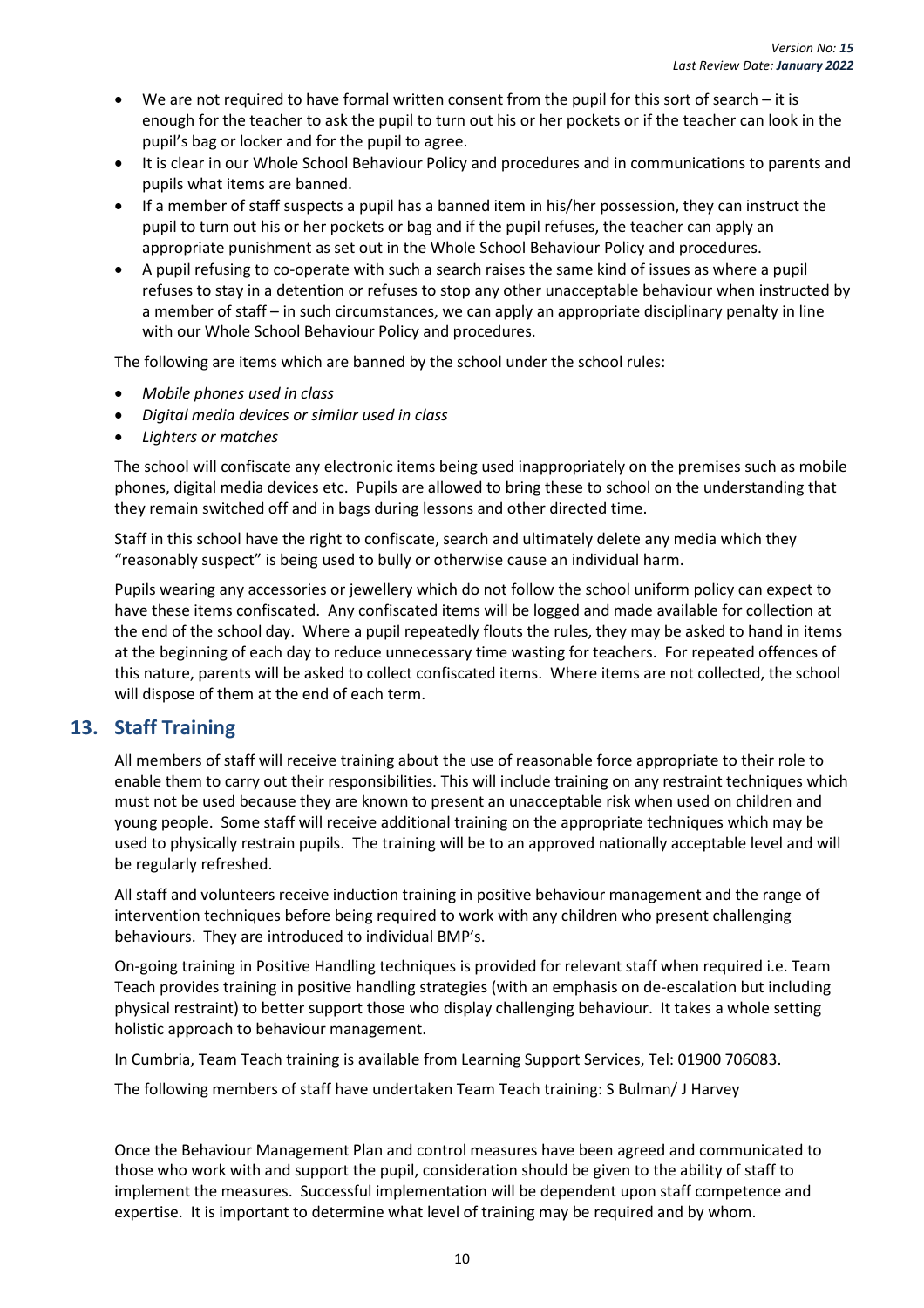- We are not required to have formal written consent from the pupil for this sort of search it is enough for the teacher to ask the pupil to turn out his or her pockets or if the teacher can look in the pupil's bag or locker and for the pupil to agree.
- It is clear in our Whole School Behaviour Policy and procedures and in communications to parents and pupils what items are banned.
- If a member of staff suspects a pupil has a banned item in his/her possession, they can instruct the pupil to turn out his or her pockets or bag and if the pupil refuses, the teacher can apply an appropriate punishment as set out in the Whole School Behaviour Policy and procedures.
- A pupil refusing to co-operate with such a search raises the same kind of issues as where a pupil refuses to stay in a detention or refuses to stop any other unacceptable behaviour when instructed by a member of staff – in such circumstances, we can apply an appropriate disciplinary penalty in line with our Whole School Behaviour Policy and procedures.

The following are items which are banned by the school under the school rules:

- *Mobile phones used in class*
- *Digital media devices or similar used in class*
- *Lighters or matches*

The school will confiscate any electronic items being used inappropriately on the premises such as mobile phones, digital media devices etc. Pupils are allowed to bring these to school on the understanding that they remain switched off and in bags during lessons and other directed time.

Staff in this school have the right to confiscate, search and ultimately delete any media which they "reasonably suspect" is being used to bully or otherwise cause an individual harm.

Pupils wearing any accessories or jewellery which do not follow the school uniform policy can expect to have these items confiscated. Any confiscated items will be logged and made available for collection at the end of the school day. Where a pupil repeatedly flouts the rules, they may be asked to hand in items at the beginning of each day to reduce unnecessary time wasting for teachers. For repeated offences of this nature, parents will be asked to collect confiscated items. Where items are not collected, the school will dispose of them at the end of each term.

## <span id="page-14-0"></span>**13. Staff Training**

All members of staff will receive training about the use of reasonable force appropriate to their role to enable them to carry out their responsibilities. This will include training on any restraint techniques which must not be used because they are known to present an unacceptable risk when used on children and young people. Some staff will receive additional training on the appropriate techniques which may be used to physically restrain pupils. The training will be to an approved nationally acceptable level and will be regularly refreshed.

All staff and volunteers receive induction training in positive behaviour management and the range of intervention techniques before being required to work with any children who present challenging behaviours. They are introduced to individual BMP's.

On-going training in Positive Handling techniques is provided for relevant staff when required i.e. Team Teach provides training in positive handling strategies (with an emphasis on de-escalation but including physical restraint) to better support those who display challenging behaviour. It takes a whole setting holistic approach to behaviour management.

In Cumbria, Team Teach training is available from Learning Support Services, Tel: 01900 706083.

The following members of staff have undertaken Team Teach training: S Bulman/ J Harvey

Once the Behaviour Management Plan and control measures have been agreed and communicated to those who work with and support the pupil, consideration should be given to the ability of staff to implement the measures. Successful implementation will be dependent upon staff competence and expertise. It is important to determine what level of training may be required and by whom.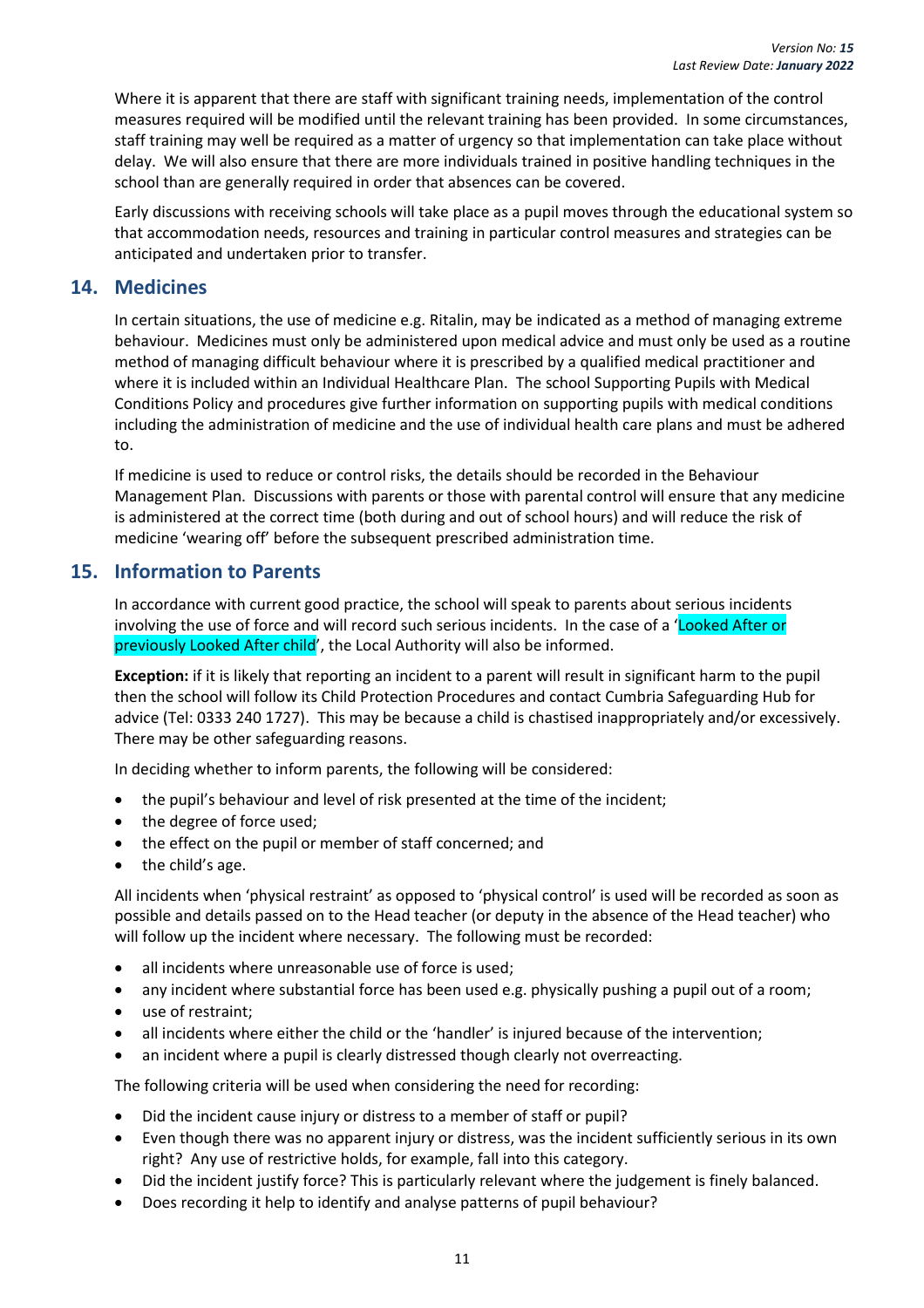Where it is apparent that there are staff with significant training needs, implementation of the control measures required will be modified until the relevant training has been provided. In some circumstances, staff training may well be required as a matter of urgency so that implementation can take place without delay. We will also ensure that there are more individuals trained in positive handling techniques in the school than are generally required in order that absences can be covered.

Early discussions with receiving schools will take place as a pupil moves through the educational system so that accommodation needs, resources and training in particular control measures and strategies can be anticipated and undertaken prior to transfer.

#### <span id="page-15-0"></span>**14. Medicines**

In certain situations, the use of medicine e.g. Ritalin, may be indicated as a method of managing extreme behaviour. Medicines must only be administered upon medical advice and must only be used as a routine method of managing difficult behaviour where it is prescribed by a qualified medical practitioner and where it is included within an Individual Healthcare Plan. The school Supporting Pupils with Medical Conditions Policy and procedures give further information on supporting pupils with medical conditions including the administration of medicine and the use of individual health care plans and must be adhered to.

If medicine is used to reduce or control risks, the details should be recorded in the Behaviour Management Plan. Discussions with parents or those with parental control will ensure that any medicine is administered at the correct time (both during and out of school hours) and will reduce the risk of medicine 'wearing off' before the subsequent prescribed administration time.

#### <span id="page-15-1"></span>**15. Information to Parents**

In accordance with current good practice, the school will speak to parents about serious incidents involving the use of force and will record such serious incidents. In the case of a 'Looked After or previously Looked After child', the Local Authority will also be informed.

**Exception:** if it is likely that reporting an incident to a parent will result in significant harm to the pupil then the school will follow its Child Protection Procedures and contact Cumbria Safeguarding Hub for advice (Tel: 0333 240 1727). This may be because a child is chastised inappropriately and/or excessively. There may be other safeguarding reasons.

In deciding whether to inform parents, the following will be considered:

- the pupil's behaviour and level of risk presented at the time of the incident;
- the degree of force used;
- the effect on the pupil or member of staff concerned; and
- the child's age.

All incidents when 'physical restraint' as opposed to 'physical control' is used will be recorded as soon as possible and details passed on to the Head teacher (or deputy in the absence of the Head teacher) who will follow up the incident where necessary. The following must be recorded:

- all incidents where unreasonable use of force is used;
- any incident where substantial force has been used e.g. physically pushing a pupil out of a room;
- use of restraint;
- all incidents where either the child or the 'handler' is injured because of the intervention;
- an incident where a pupil is clearly distressed though clearly not overreacting.

The following criteria will be used when considering the need for recording:

- Did the incident cause injury or distress to a member of staff or pupil?
- Even though there was no apparent injury or distress, was the incident sufficiently serious in its own right? Any use of restrictive holds, for example, fall into this category.
- Did the incident justify force? This is particularly relevant where the judgement is finely balanced.
- Does recording it help to identify and analyse patterns of pupil behaviour?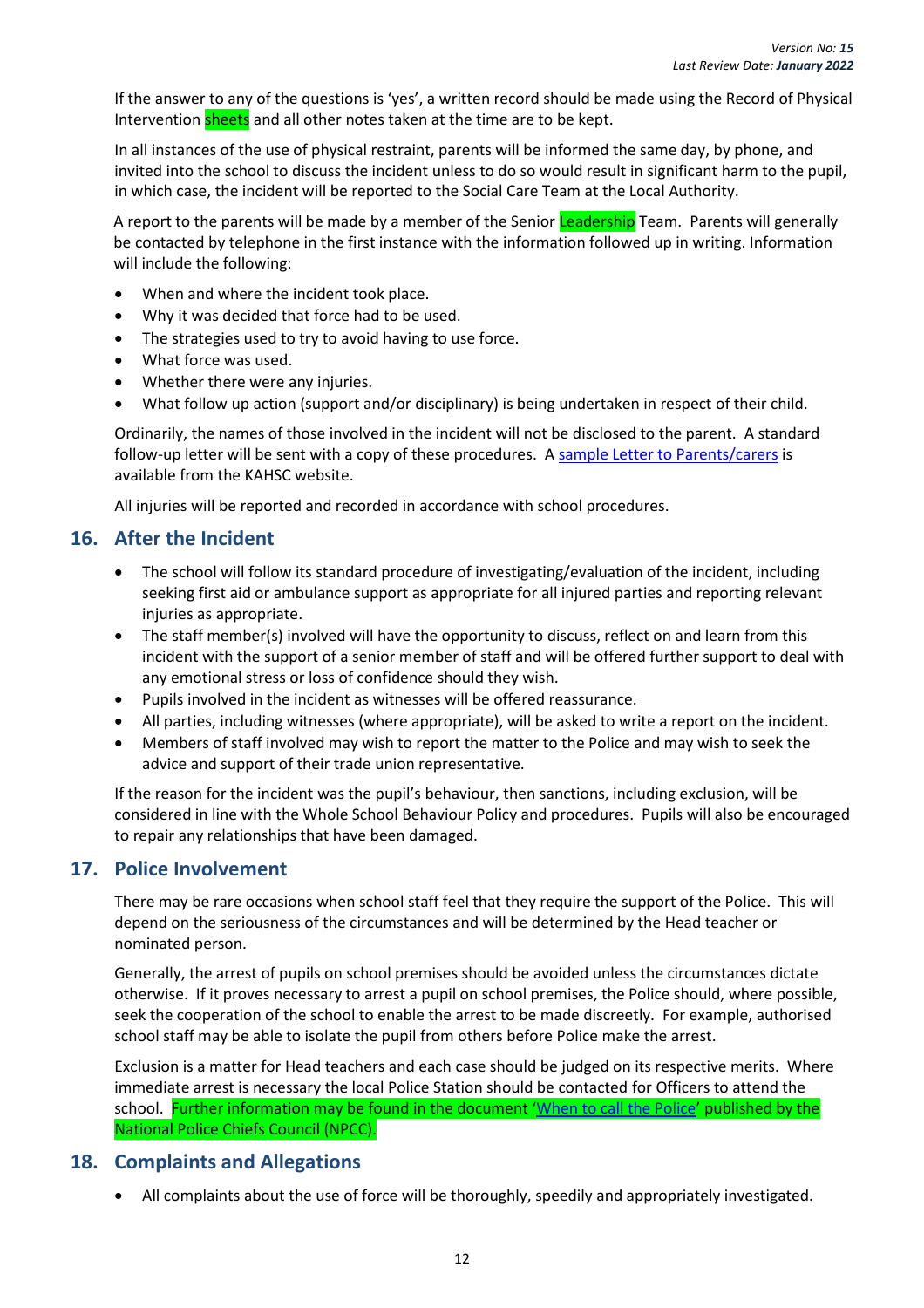If the answer to any of the questions is 'yes', a written record should be made using the Record of Physical Intervention sheets and all other notes taken at the time are to be kept.

In all instances of the use of physical restraint, parents will be informed the same day, by phone, and invited into the school to discuss the incident unless to do so would result in significant harm to the pupil, in which case, the incident will be reported to the Social Care Team at the Local Authority.

A report to the parents will be made by a member of the Senior Leadership Team. Parents will generally be contacted by telephone in the first instance with the information followed up in writing. Information will include the following:

- When and where the incident took place.
- Why it was decided that force had to be used.
- The strategies used to try to avoid having to use force.
- What force was used.
- Whether there were any injuries.
- What follow up action (support and/or disciplinary) is being undertaken in respect of their child.

Ordinarily, the names of those involved in the incident will not be disclosed to the parent. A standard follow-up letter will be sent with a copy of these procedures. [A sample Letter to Parents/carers](https://www.kymallanhsc.co.uk/Document/DownloadDocument/8940) is available from the KAHSC website.

All injuries will be reported and recorded in accordance with school procedures.

#### <span id="page-16-0"></span>**16. After the Incident**

- The school will follow its standard procedure of investigating/evaluation of the incident, including seeking first aid or ambulance support as appropriate for all injured parties and reporting relevant injuries as appropriate.
- The staff member(s) involved will have the opportunity to discuss, reflect on and learn from this incident with the support of a senior member of staff and will be offered further support to deal with any emotional stress or loss of confidence should they wish.
- Pupils involved in the incident as witnesses will be offered reassurance.
- All parties, including witnesses (where appropriate), will be asked to write a report on the incident.
- Members of staff involved may wish to report the matter to the Police and may wish to seek the advice and support of their trade union representative.

If the reason for the incident was the pupil's behaviour, then sanctions, including exclusion, will be considered in line with the Whole School Behaviour Policy and procedures. Pupils will also be encouraged to repair any relationships that have been damaged.

#### <span id="page-16-1"></span>**17. Police Involvement**

There may be rare occasions when school staff feel that they require the support of the Police. This will depend on the seriousness of the circumstances and will be determined by the Head teacher or nominated person.

Generally, the arrest of pupils on school premises should be avoided unless the circumstances dictate otherwise. If it proves necessary to arrest a pupil on school premises, the Police should, where possible, seek the cooperation of the school to enable the arrest to be made discreetly. For example, authorised school staff may be able to isolate the pupil from others before Police make the arrest.

Exclusion is a matter for Head teachers and each case should be judged on its respective merits. Where immediate arrest is necessary the local Police Station should be contacted for Officers to attend the school. Further information may be found in the document '[When to call the Police](https://www.npcc.police.uk/documents/Children%20and%20Young%20people/When%20to%20call%20the%20police%20guidance%20for%20schools%20and%20colleges.pdf)' published by the National Police Chiefs Council (NPCC).

#### <span id="page-16-2"></span>**18. Complaints and Allegations**

• All complaints about the use of force will be thoroughly, speedily and appropriately investigated.